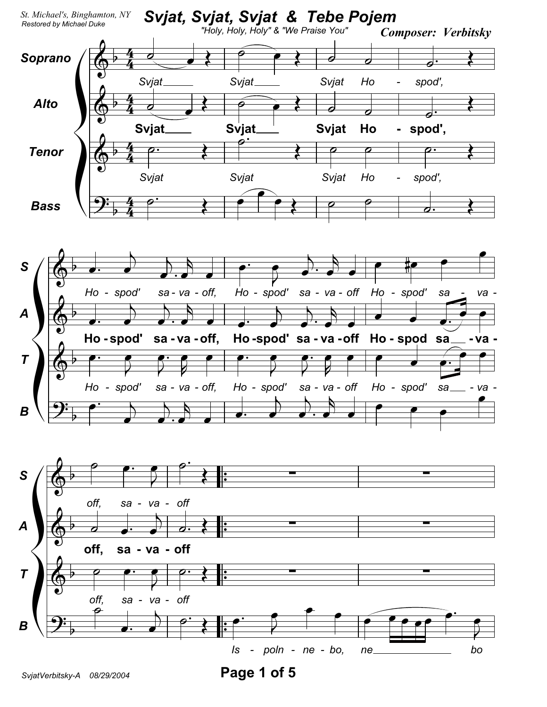

Page 1 of 5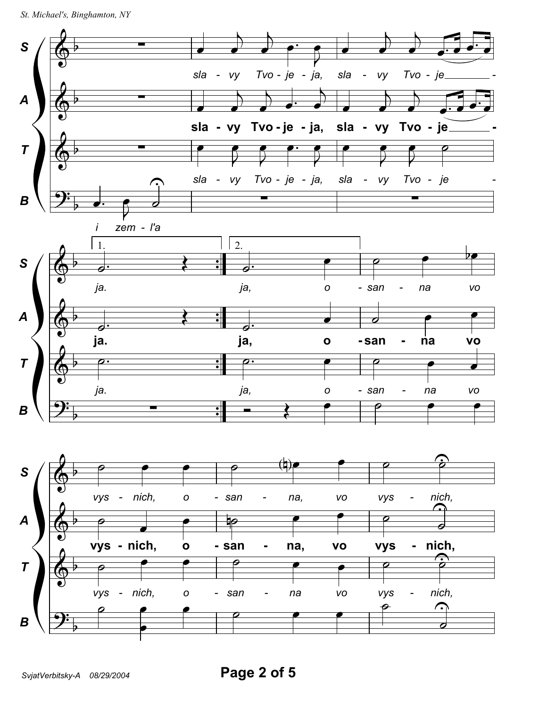```
St. Michael's, Binghamton, NY
```
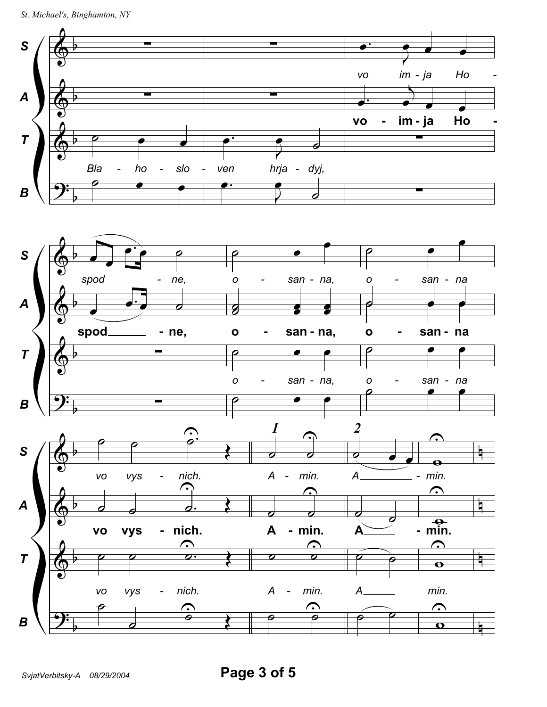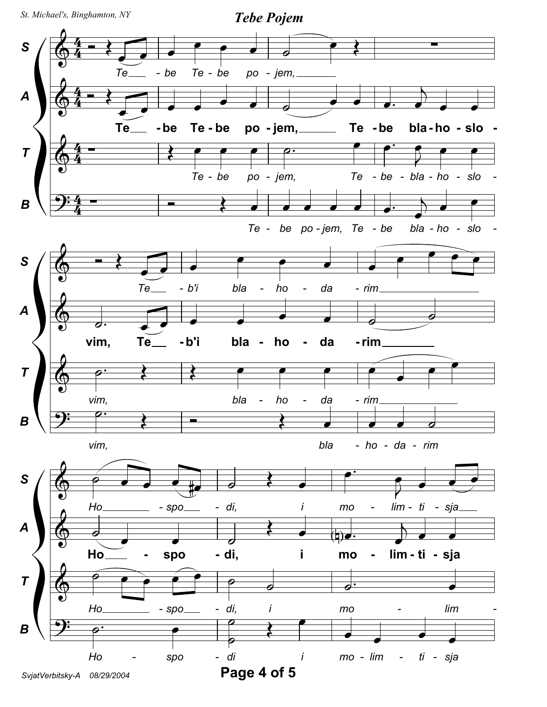